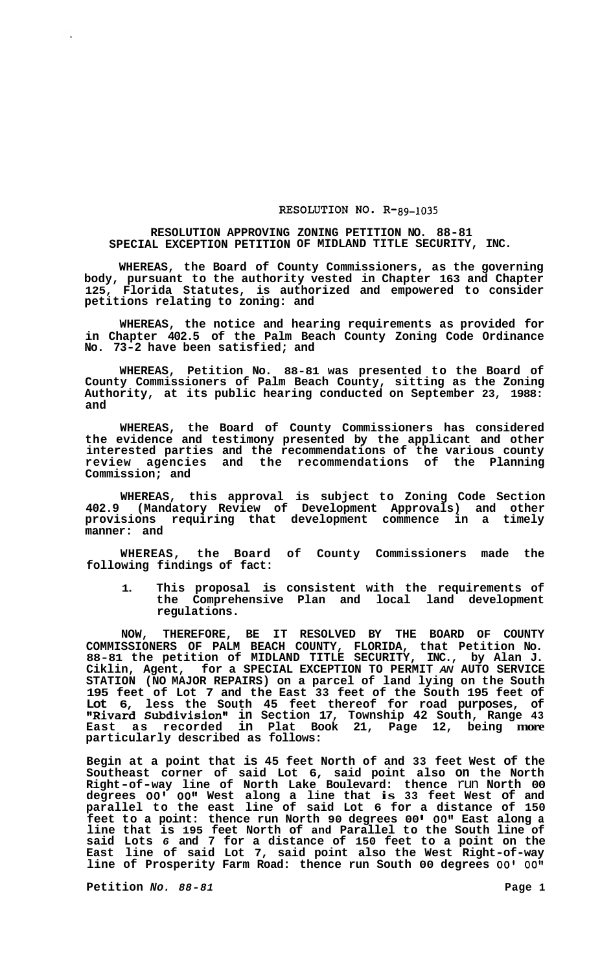## RESOLUTION NO. R-89-1035

## **RESOLUTION APPROVING ZONING PETITION NO. 88-81 SPECIAL EXCEPTION PETITION OF MIDLAND TITLE SECURITY, INC.**

**WHEREAS, the Board of County Commissioners, as the governing body, pursuant to the authority vested in Chapter 163 and Chapter 125, Florida Statutes, is authorized and empowered to consider petitions relating to zoning: and** 

**WHEREAS, the notice and hearing requirements as provided for in Chapter 402.5 of the Palm Beach County Zoning Code Ordinance No. 73-2 have been satisfied; and** 

**WHEREAS, Petition No. 88-81 was presented to the Board of County Commissioners of Palm Beach County, sitting as the Zoning Authority, at its public hearing conducted on September 23, 1988: and** 

**WHEREAS, the Board of County Commissioners has considered the evidence and testimony presented by the applicant and other interested parties and the recommendations of the various county review agencies and the recommendations of the Planning Commission; and** 

**WHEREAS, this approval is subject to Zoning Code Section 402.9 (Mandatory Review of Development Approvals) and other provisions requiring that development commence in a timely manner: and** 

**WHEREAS, the Board of County Commissioners made the following findings of fact:** 

**1. This proposal is consistent with the requirements of the Comprehensive Plan and local land development regulations.** 

**NOW, THEREFORE, BE IT RESOLVED BY THE BOARD OF COUNTY COMMISSIONERS OF PALM BEACH COUNTY, FLORIDA, that Petition No. 88-81 the petition of MIDLAND TITLE SECURITY, INC., by Alan J. Ciklin, Agent, for a SPECIAL EXCEPTION TO PERMIT** *AN* **AUTO SERVICE STATION (NO MAJOR REPAIRS) on a parcel of land lying on the South 195 feet of Lot 7 and the East 33 feet of the South 195 feet of Lot 6, less the South 45 feet thereof for road purposes, of IIRivard Subdivisionv1 in Section 17, Township 42 South, Range 43 East as recorded in Plat Book 21, Page 12, being more particularly described as follows:** 

**Begin at a point that is 45 feet North of and 33 feet West of the Southeast corner of said Lot 6, said point also on the North Right-of-way line of North Lake Boulevard: thence** run **North 00 degrees** *00' 0O1\** **West along a line that is 33 feet West of and parallel to the east line of said Lot 6 for a distance of 150**  feet to a point: thence run North 90 degrees 00' 00" East along a **line that is 195 feet North of and Parallel to the South line of said Lots** *6* **and 7 for a distance of 150 feet to a point on the East line of said Lot 7, said point also the West Right-of-way**  line of Prosperity Farm Road: thence run South 00 degrees 00' 00"

**Petition** *No.* **88-81 <b>Page 1 Page 1**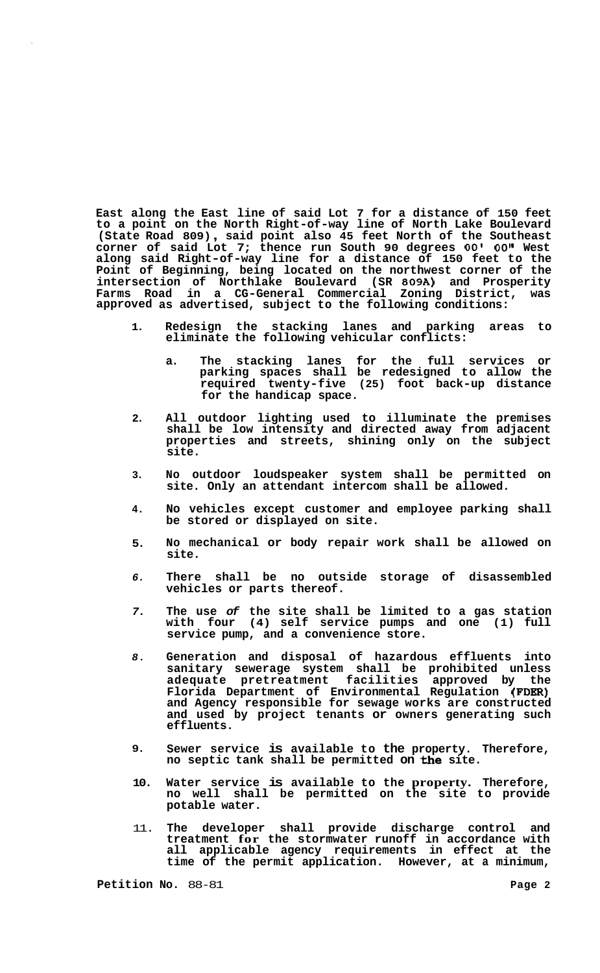**East along the East line of said Lot 7 for a distance of 150 feet to a point on the North Right-of-way line of North Lake Boulevard (State Road 809)** , **said point also 45 feet North of the Southeast corner of said Lot 7; thence run South 90 degrees 00' 00" West along said Right-of-way line for a distance of 150 feet to the Point of Beginning, being located on the northwest corner of the intersection of Northlake Boulevard (SR 809A) and Prosperity Farms Road in a CG-General Commercial Zoning District, was approved as advertised, subject to the following conditions:** 

- **1. Redesign the stacking lanes and parking areas to eliminate the following vehicular conflicts:** 
	- **a. The stacking lanes for the full services or parking spaces shall be redesigned to allow the required twenty-five (25) foot back-up distance for the handicap space.**
- **2. All outdoor lighting used to illuminate the premises shall be low intensity and directed away from adjacent properties and streets, shining only on the subject site.**
- **3. No outdoor loudspeaker system shall be permitted on site. Only an attendant intercom shall be allowed.**
- **4. No vehicles except customer and employee parking shall be stored or displayed on site.**
- **5. No mechanical or body repair work shall be allowed on site.**
- *6.*  **There shall be no outside storage of disassembled vehicles or parts thereof.**
- *7.*  **The use** *of* **the site shall be limited to a gas station with four (4) self service pumps and one (1) full service pump, and a convenience store.**
- *8.*  **Generation and disposal of hazardous effluents into sanitary sewerage system shall be prohibited unless adequate pretreatment facilities approved by the Florida Department of Environmental Regulation (FDER) and Agency responsible for sewage works are constructed and used by project tenants or owners generating such effluents.**
- **9. Sewer service is available to the property. Therefore, no septic tank shall be permitted on the site.**
- **10. Water service is available to the property. Therefore, no well shall be permitted on the site to provide potable water.**
- 11. **The developer shall provide discharge control and treatment for the stormwater runoff in accordance with all applicable agency requirements in effect at the time of the permit application. However, at a minimum,**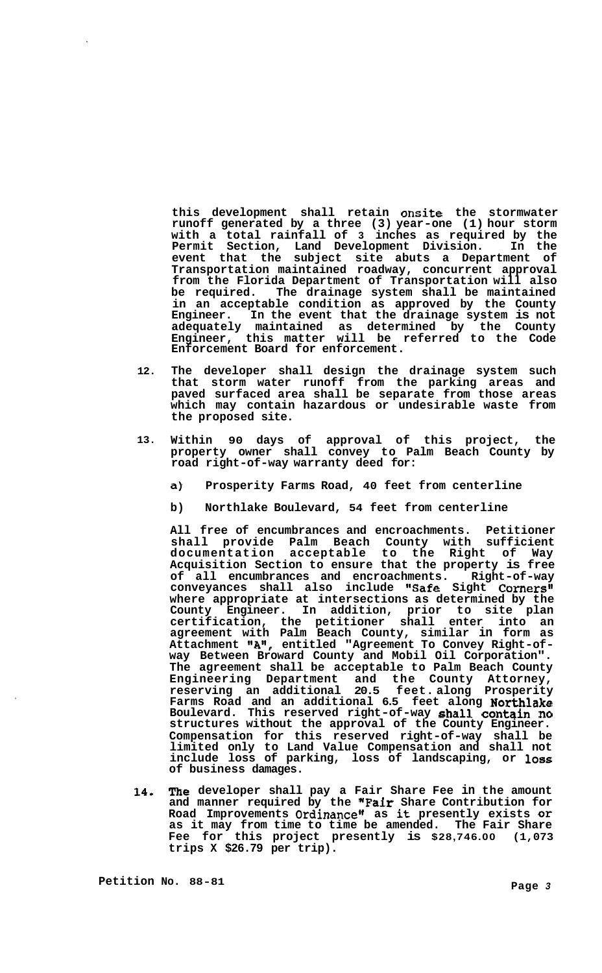**this development shall retain onsite the stormwater runoff generated by a three (3) year-one (1) hour storm with a total rainfall of 3 inches as required by the Permit Section, Land Development Division. In the event that the subject site abuts a Department of Transportation maintained roadway, concurrent approval from the Florida Department of Transportation will also be required. The drainage system shall be maintained in an acceptable condition as approved by the County Engineer. In the event that the drainage system is not adequately maintained as determined by the County Engineer, this matter will be referred to the Code Enforcement Board for enforcement.** 

- **12. The developer shall design the drainage system such that storm water runoff from the parking areas and paved surfaced area shall be separate from those areas which may contain hazardous or undesirable waste from the proposed site.**
- **13. Within 90 days of approval of this project, the property owner shall convey to Palm Beach County by road right-of-way warranty deed for:** 
	- **a) Prosperity Farms Road, 40 feet from centerline**
	- **b) Northlake Boulevard, 54 feet from centerline**

**All free of encumbrances and encroachments. Petitioner shall provide Palm Beach County with sufficient documentation acceptable to the Right of Way Acquisition Section to ensure that the property is free of all encumbrances and encroachments. Right-of-way**  conveyances shall also include "Safe Sight Corners" **where appropriate at intersections as determined by the County Engineer. In addition, prior to site plan certification, the petitioner shall enter into an agreement with Palm Beach County, similar in form as Attachment "An, entitled "Agreement To Convey Right-of- way Between Broward County and Mobil Oil Corporation". The agreement shall be acceptable to Palm Beach County Engineering Department and the County Attorney, reserving an additional 20.5 feet. along Prosperity Farms Road and an additional 6.5 feet along Northlake Boulevard. This reserved right-of-way shall contain no structures without the approval of the County Engineer. Compensation for this reserved right-of-way shall be limited only to Land Value Compensation and shall not include loss of parking, loss of landscaping, or loss of business damages.** 

**14. The developer shall pay a Fair Share Fee in the amount and manner required by the nFair Share Contribution for**  Road Improvements Ordinance" as it presently exists or **as it may from time to time be amended. The Fair Share Fee for this project presently is \$28,746.00 (1,073 trips X \$26.79 per trip).**